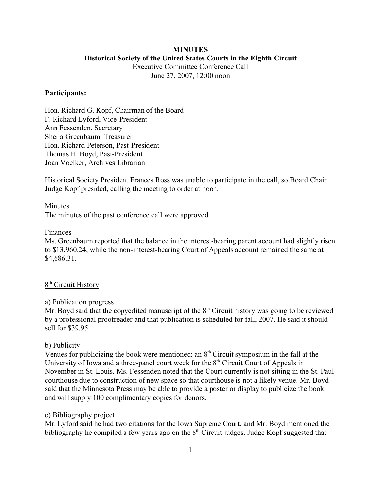## **MINUTES Historical Society of the United States Courts in the Eighth Circuit**

Executive Committee Conference Call June 27, 2007, 12:00 noon

### **Participants:**

Hon. Richard G. Kopf, Chairman of the Board F. Richard Lyford, Vice-President Ann Fessenden, Secretary Sheila Greenbaum, Treasurer Hon. Richard Peterson, Past-President Thomas H. Boyd, Past-President Joan Voelker, Archives Librarian

Historical Society President Frances Ross was unable to participate in the call, so Board Chair Judge Kopf presided, calling the meeting to order at noon.

## Minutes

The minutes of the past conference call were approved.

## Finances

Ms. Greenbaum reported that the balance in the interest-bearing parent account had slightly risen to \$13,960.24, while the non-interest-bearing Court of Appeals account remained the same at \$4,686.31.

# 8<sup>th</sup> Circuit History

## a) Publication progress

Mr. Boyd said that the copyedited manuscript of the  $8<sup>th</sup>$  Circuit history was going to be reviewed by a professional proofreader and that publication is scheduled for fall, 2007. He said it should sell for \$39.95.

## b) Publicity

Venues for publicizing the book were mentioned: an  $8<sup>th</sup>$  Circuit symposium in the fall at the University of Iowa and a three-panel court week for the  $8<sup>th</sup>$  Circuit Court of Appeals in November in St. Louis. Ms. Fessenden noted that the Court currently is not sitting in the St. Paul courthouse due to construction of new space so that courthouse is not a likely venue. Mr. Boyd said that the Minnesota Press may be able to provide a poster or display to publicize the book and will supply 100 complimentary copies for donors.

# c) Bibliography project

Mr. Lyford said he had two citations for the Iowa Supreme Court, and Mr. Boyd mentioned the bibliography he compiled a few years ago on the  $8<sup>th</sup>$  Circuit judges. Judge Kopf suggested that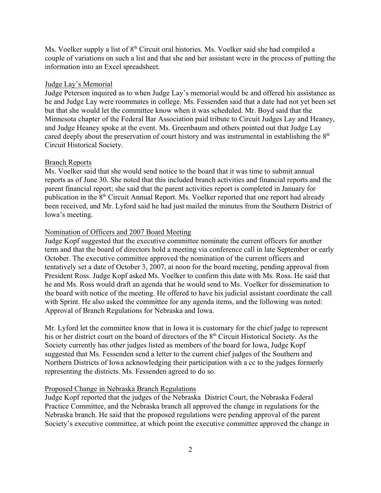Ms. Voelker supply a list of  $8<sup>th</sup>$  Circuit oral histories. Ms. Voelker said she had compiled a couple of variations on such a list and that she and her assistant were in the process of putting the information into an Excel spreadsheet.

#### Judge Lay's Memorial

Judge Peterson inquired as to when Judge Lay's memorial would be and offered his assistance as he and Judge Lay were roommates in college. Ms. Fessenden said that a date had not yet been set but that she would let the committee know when it was scheduled. Mr. Boyd said that the Minnesota chapter of the Federal Bar Association paid tribute to Circuit Judges Lay and Heaney, and Judge Heaney spoke at the event. Ms. Greenbaum and others pointed out that Judge Lay cared deeply about the preservation of court history and was instrumental in establishing the  $8<sup>th</sup>$ Circuit Historical Society.

#### Branch Reports

Ms. Voelker said that she would send notice to the board that it was time to submit annual reports as of June 30. She noted that this included branch activities and financial reports and the parent financial report; she said that the parent activities report is completed in January for publication in the 8<sup>th</sup> Circuit Annual Report. Ms. Voelker reported that one report had already been received, and Mr. Lyford said he had just mailed the minutes from the Southern District of Iowa's meeting.

#### Nomination of Officers and 2007 Board Meeting

Judge Kopf suggested that the executive committee nominate the current officers for another term and that the board of directors hold a meeting via conference call in late September or early October. The executive committee approved the nomination of the current officers and tentatively set a date of October 3, 2007, at noon for the board meeting, pending approval from President Ross. Judge Kopf asked Ms. Voelker to confirm this date with Ms. Ross. He said that he and Ms. Ross would draft an agenda that he would send to Ms. Voelker for dissemination to the board with notice of the meeting. He offered to have his judicial assistant coordinate the call with Sprint. He also asked the committee for any agenda items, and the following was noted: Approval of Branch Regulations for Nebraska and Iowa.

Mr. Lyford let the committee know that in Iowa it is customary for the chief judge to represent his or her district court on the board of directors of the  $8<sup>th</sup>$  Circuit Historical Society. As the Society currently has other judges listed as members of the board for Iowa, Judge Kopf suggested that Ms. Fessenden send a letter to the current chief judges of the Southern and Northern Districts of Iowa acknowledging their participation with a cc to the judges formerly representing the districts. Ms. Fessenden agreed to do so.

### Proposed Change in Nebraska Branch Regulations

Judge Kopf reported that the judges of the Nebraska District Court, the Nebraska Federal Practice Committee, and the Nebraska branch all approved the change in regulations for the Nebraska branch. He said that the proposed regulations were pending approval of the parent Society's executive committee, at which point the executive committee approved the change in